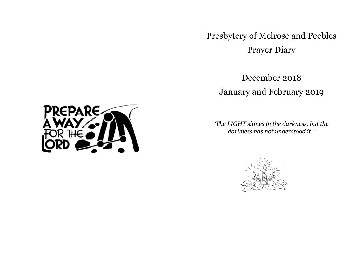Presbytery of Melrose and Peebles Prayer Diary

December 2018 January and February 2019

*'The LIGHT shines in the darkness, but the darkness has not understood it. '* 



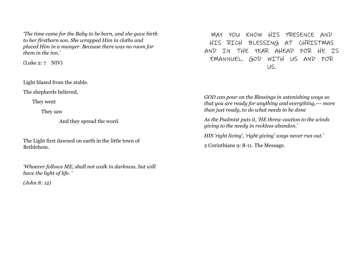*'The time came for the Baby to be born, and she gave birth to her firstborn son. She wrapped Him in cloths and placed Him in a manger. Because there was no room for them in the inn.'* 

(Luke 2: 7 NIV)

Light blazed from the stable.

The shepherds believed,

They went

They saw

And they spread the word.

The Light first dawned on earth in the little town of Bethlehem.

*'Whoever follows ME, shall not walk in darkness, but will have the light of life. '* 

*(John 8: 12)* 

MAY YOU KNOW HIS PRESENCE AND HIS RICH BLESSING AT CHRISTMAS AND IN THE YEAR AHEAD FOR HE IS EMANNUEL, GOD WITH US AND FOR US.

*GOD can pour on the Blessings in astonishing ways so that you are ready for anything and everything,--- more than just ready, to do what needs to be done* 

*As the Psalmist puts it, 'HE threw caution to the winds giving to the needy in reckless abandon.'* 

*HIS 'right living', 'right giving' ways never run out.'* 

2 Corinthians 9: 8-11. The Message.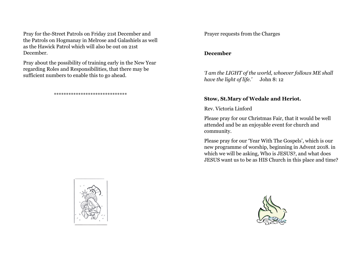Pray for the-Street Patrols on Friday 21st December and the Patrols on Hogmanay in Melrose and Galashiels as well as the Hawick Patrol which will also be out on 21st December.

Pray about the possibility of training early in the New Year regarding Roles and Responsibilities, that there may be sufficient numbers to enable this to go ahead.

#### \*\*\*\*\*\*\*\*\*\*\*\*\*\*\*\*\*\*\*\*\*\*\*\*\*\*\*\*\*\*

Prayer requests from the Charges

#### **December**

*'I am the LIGHT of the world, whoever follows ME shall have the light of life.'* John 8: 12

#### **Stow, St.Mary of Wedale and Heriot.**

Rev. Victoria Linford

Please pray for our Christmas Fair, that it would be well attended and be an enjoyable event for church and community.

Please pray for our 'Year With The Gospels', which is our new programme of worship, beginning in Advent 2018. in which we will be asking, Who is JESUS?, and what does JESUS want us to be as HIS Church in this place and time?



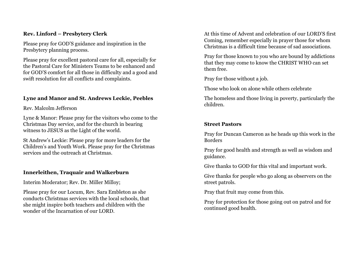### **Rev. Linford – Presbytery Clerk**

Please pray for GOD'S guidance and inspiration in the Presbytery planning process.

Please pray for excellent pastoral care for all, especially for the Pastoral Care for Ministers Teams to be enhanced and for GOD'S comfort for all those in difficulty and a good and swift resolution for all conflicts and complaints.

# **Lyne and Manor and St. Andrews Leckie, Peebles**

Rev. Malcolm Jefferson

Lyne & Manor: Please pray for the visitors who come to the Christmas Day service, and for the church in bearing witness to JESUS as the Light of the world.

St Andrew's Leckie: Please pray for more leaders for the Children's and Youth Work. Please pray for the Christmas services and the outreach at Christmas.

# **Innerleithen, Traquair and Walkerburn**

Interim Moderator; Rev. Dr. Miller Milloy;

Please pray for our Locum, Rev. Sara Embleton as she conducts Christmas services with the local schools, that she might inspire both teachers and children with the wonder of the Incarnation of our LORD.

At this time of Advent and celebration of our LORD'S first Coming, remember especially in prayer those for whom Christmas is a difficult time because of sad associations.

Pray for those known to you who are bound by addictions that they may come to know the CHRIST WHO can set them free.

Pray for those without a job.

Those who look on alone while others celebrate

The homeless and those living in poverty, particularly the children.

# **Street Pastors**

Pray for Duncan Cameron as he heads up this work in the Borders

Pray for good health and strength as well as wisdom and guidance.

Give thanks to GOD for this vital and important work.

Give thanks for people who go along as observers on the street patrols.

Pray that fruit may come from this.

Pray for protection for those going out on patrol and for continued good health.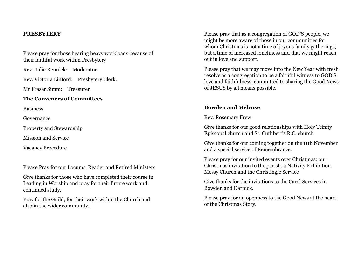#### **PRESBYTERY**

Please pray for those bearing heavy workloads because of their faithful work within Presbytery

Rev. Julie Rennick: Moderator.

Rev. Victoria Linford: Presbytery Clerk.

Mr Fraser Simm: Treasurer

#### **The Conveners of Committees**

Business

Governance

Property and Stewardship

Mission and Service

Vacancy Procedure

Please Pray for our Locums, Reader and Retired Ministers

Give thanks for those who have completed their course in Leading in Worship and pray for their future work and continued study.

Pray for the Guild, for their work within the Church and also in the wider community.

Please pray that as a congregation of GOD'S people, we might be more aware of those in our communities for whom Christmas is not a time of joyous family gatherings, but a time of increased loneliness and that we might reach out in love and support.

Please pray that we may move into the New Year with fresh resolve as a congregation to be a faithful witness to GOD'S love and faithfulness, committed to sharing the Good News of JESUS by all means possible.

#### **Bowden and Melrose**

Rev. Rosemary Frew

Give thanks for our good relationships with Holy Trinity Episcopal church and St. Cuthbert's R.C. church

Give thanks for our coming together on the 11th November and a special service of Remembrance.

Please pray for our invited events over Christmas: our Christmas invitation to the parish, a Nativity Exhibition, Messy Church and the Christingle Service

Give thanks for the invitations to the Carol Services in Bowden and Darnick.

Please pray for an openness to the Good News at the heart of the Christmas Story.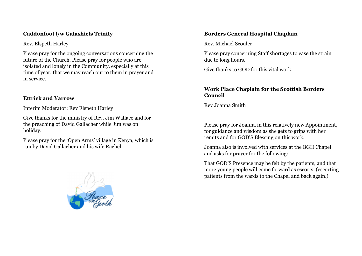# **Caddonfoot l/w Galashiels Trinity**

Rev. Elspeth Harley

Please pray for the ongoing conversations concerning the future of the Church. Please pray for people who are isolated and lonely in the Community, especially at this time of year, that we may reach out to them in prayer and in service.

# **Ettrick and Yarrow**

Interim Moderator: Rev Elspeth Harley

Give thanks for the ministry of Rev. Jim Wallace and for the preaching of David Gallacher while Jim was on holiday.

Please pray for the 'Open Arms' village in Kenya, which is run by David Gallacher and his wife Rachel



### **Borders General Hospital Chaplain**

Rev. Michael Scouler

Please pray concerning Staff shortages to ease the strain due to long hours.

Give thanks to GOD for this vital work.

### **Work Place Chaplain for the Scottish Borders Council**

Rev Joanna Smith

Please pray for Joanna in this relatively new Appointment, for guidance and wisdom as she gets to grips with her remits and for GOD'S Blessing on this work.

Joanna also is involved with services at the BGH Chapel and asks for prayer for the following:

That GOD'S Presence may be felt by the patients, and that more young people will come forward as escorts. (escorting patients from the wards to the Chapel and back again.)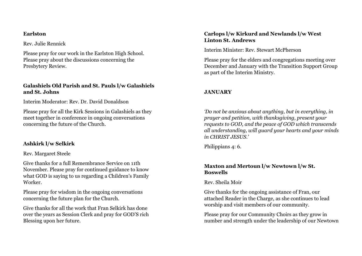#### **Earlston**

Rev. Julie Rennick

Please pray for our work in the Earlston High School. Please pray about the discussions concerning the Presbytery Review.

# **Galashiels Old Parish and St. Pauls l/w Galashiels and St. Johns**

Interim Moderator: Rev. Dr. David Donaldson

Please pray for all the Kirk Sessions in Galashiels as they meet together in conference in ongoing conversations concerning the future of the Church.

# **Ashkirk l/w Selkirk**

### Rev. Margaret Steele

Give thanks for a full Remembrance Service on 11th November. Please pray for continued guidance to know what GOD is saying to us regarding a Children's Family Worker.

Please pray for wisdom in the ongoing conversations concerning the future plan for the Church.

Give thanks for all the work that Fran Selkirk has done over the years as Session Clerk and pray for GOD'S rich Blessing upon her future.

# **Carlops l/w Kirkurd and Newlands l/w West Linton St. Andrews**

Interim Minister: Rev. Stewart McPherson

Please pray for the elders and congregations meeting over December and January with the Transition Support Group as part of the Interim Ministry.

# **JANUARY**

*'Do not be anxious about anything, but in everything, in prayer and petition, with thanksgiving, present your requests to GOD, and the peace of GOD which transcends all understanding, will guard your hearts and your minds in CHRIST JESUS.'* 

Philippians 4: 6.

# **Maxton and Mertoun l/w Newtown l/w St. Boswells**

Rev. Sheila Moir

Give thanks for the ongoing assistance of Fran, our attached Reader in the Charge, as she continues to lead worship and visit members of our community.

Please pray for our Community Choirs as they grow in number and strength under the leadership of our Newtown